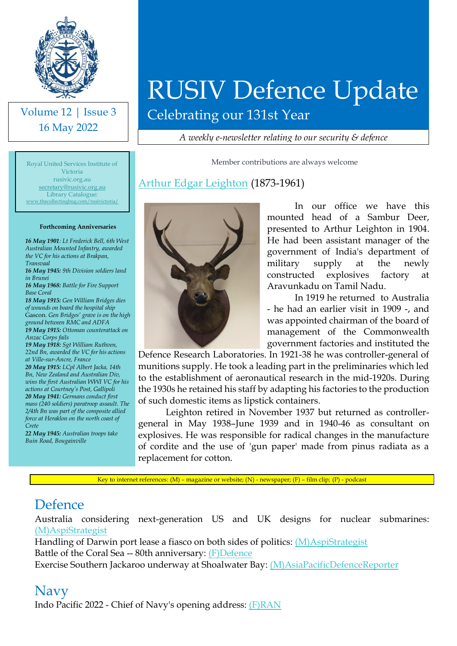

Volume 12 | Issue 3 16 May 2022

Library Catalogue:

**Forthcoming Anniversaries** *16 May 1901: Lt Frederick Bell, 6th West Australian Mounted Infantry, awarded the VC for his actions at Brakpan,* 

*16 May 1945: 9th Division soldiers land* 

*18 May 1915: Gen William Bridges dies of wounds on board the hospital ship*  Gascon*. Gen Bridges' grave is on the high ground between RMC and ADFA 19 May 1915: Ottoman counterattack on* 

*16 May 1968: Battle for Fire Support* 

*19 May 1918: Sgt William Ruthven, 22nd Bn, awarded the VC for his actions* 

*20 May 1915: LCpl Albert Jacka, 14th Bn, New Zealand and Australian Div, wins the first Australian WWI VC for his actions at Courtney's Post, Gallipoli 20 May 1941: Germans conduct first mass (240 soldiers) paratroop assault. The 2/4th Bn was part of the composite allied force at Heraklon on the north coast of* 

*22 May 1945: Australian troops take* 

*Transvaal*

*in Brunei*

*Base Coral*

*Anzac Corps fails*

*Crete*

*at Ville-sur-Ancre, France*

Royal United Services Institute of Victoria rusivic.org.au [secretary@rusivic.org.au](mailto:secretary@rusivic.org.au) [www.thecollectingbug.com/rusivictoria/](http://www.thecollectingbug.com/rusivictoria/)

# RUSIV Defence Update

Celebrating our 131st Year

*A weekly e-newsletter relating to our security & defence*

Member contributions are always welcome

#### [Arthur Edgar Leighton](https://adb.anu.edu.au/biography/leighton-arthur-edgar-7165) (1873-1961)



In our office we have this mounted head of a Sambur Deer, presented to Arthur Leighton in 1904. He had been assistant manager of the government of India's department of military supply at the newly constructed explosives factory at Aravunkadu on Tamil Nadu.

In 1919 he returned to Australia - he had an earlier visit in 1909 -, and was appointed chairman of the board of management of the Commonwealth government factories and instituted the

Defence Research Laboratories. In 1921-38 he was controller-general of munitions supply. He took a leading part in the preliminaries which led to the establishment of aeronautical research in the mid-1920s. During the 1930s he retained his staff by adapting his factories to the production of such domestic items as lipstick containers.

Leighton retired in November 1937 but returned as controllergeneral in May 1938–June 1939 and in 1940-46 as consultant on explosives. He was responsible for radical changes in the manufacture of cordite and the use of 'gun paper' made from pinus radiata as a replacement for cotton.

Key to internet references: (M) – magazine or website; (N) - newspaper; (F) – film clip; (P) - podcast

### Defence

*Buin Road, Bougainville*

Australia considering next-generation US and UK designs for nuclear submarines: [\(M\)AspiStrategist](https://www.aspistrategist.org.au/australia-considering-next-generation-us-and-uk-designs-for-nuclear-submarines/?utm_medium=email&utm_campaign=Daily%20The%20Strategist&utm_content=Daily%20The%20Strategist+CID_f3afccb10bdae9b861be3a8672e6a2fe&utm_source=CampaignMonitor&utm_term=Australia%20considering%20next-generation%20US%20and%20UK%20designs%20for%20nuclear%20submarines)

Handling of Darwin port lease a fiasco on both sides of politics: [\(M\)AspiStrategist](https://www.aspistrategist.org.au/handling-of-darwin-port-lease-a-fiasco-on-both-sides-of-politics/?utm_medium=email&utm_campaign=Daily%20The%20Strategist&utm_content=Daily%20The%20Strategist+CID_f3afccb10bdae9b861be3a8672e6a2fe&utm_source=CampaignMonitor&utm_term=Handling%20of%20Darwin%20port%20lease%20a%20fiasco%20on%20both%20sides%20of%20politics)  Battle of the Coral Sea -- 80th anniversary: [\(F\)Defence](https://www.youtube.com/watch?v=kYr83SuzpYw) Exercise Southern Jackaroo underway at Shoalwater Bay: [\(M\)AsiaPacificDefenceReporter](https://asiapacificdefencereporter.com/exercise-southern-jackaroo-underway-at-shoalwater-bay/?utm_source=Asia+Pacific+Defence+Reporter&utm_campaign=759532ec44-RSS_News+BuEMAIL_CAMPAIGN&utm_medium=email&utm_term=0_513319f9bb-759532ec44-66246413)

#### Navy

Indo Pacific 2022 - Chief of Navy's opening address: [\(F\)RAN](https://www.youtube.com/watch?v=D-8aP-O7V9M)